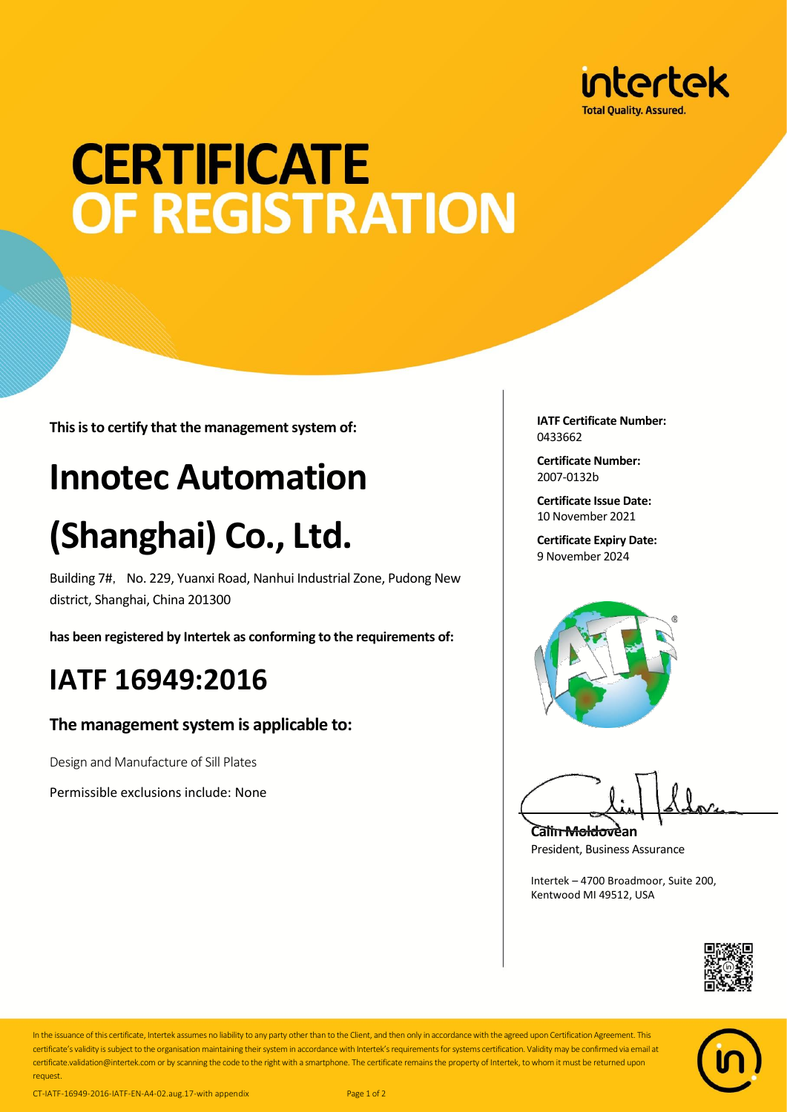

# **CERTIFICATE OF REGISTRATION**

**This is to certify that the management system of:**

## **Innotec Automation**

## **(Shanghai) Co., Ltd.**

Building 7#, No. 229, Yuanxi Road, Nanhui Industrial Zone, Pudong New district, Shanghai, China 201300

**has been registered by Intertek as conforming to the requirements of:**

### **IATF 16949:2016**

#### **The management system is applicable to:**

Design and Manufacture of Sill Plates

Permissible exclusions include: None

**IATF Certificate Number:** 0433662

**Certificate Number:** 2007-0132b

**Certificate Issue Date:** 10 November 2021

**Certificate Expiry Date:** 9 November 2024



**Calin Moldovean** President, Business Assurance

Intertek – 4700 Broadmoor, Suite 200, Kentwood MI 49512, USA





In the issuance of this certificate, Intertek assumes no liability to any party other than to the Client, and then only in accordance with the agreed upon Certification Agreement. This certificate's validity is subject to the organisation maintaining their system in accordance with Intertek's requirements for systems certification. Validity may be confirmed via email at certificate.validation@intertek.com or by scanning the code to the right with a smartphone. The certificate remains the property of Intertek, to whom it must be returned upon request.